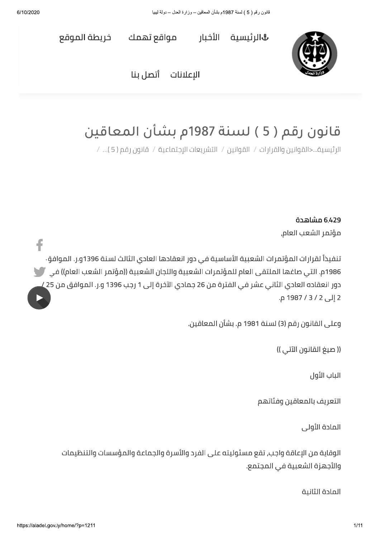f



**&الرئيسية الأخبار** 

مواقع تهمك

خريطة الموقع

البعلانات أتصل بنا

# قانون رقم ( 5 ) لسنة 1987م بشأن المعاقين

الرئيسية...<القوانين والقرارات / القوانين / التشريعات الإجتماعية / قانون رقم ( 5 )... /

6,429 مشاهدة مؤتمر الشعب العام,

تنفيذاً لقرارات المؤتمرات الشعبية الأساسية في دور انعقادها العادي الثالث لسنة 1396و.ر. الموافق 1986م. التي صاغها الملتقى العام للمؤتمرات الشعبية واللجان الشعبية ((مؤتمر الشعب العام)) في مستطر دور انعقاده العادي الثاني عشر في الفترة من 26 جمادي الآخرة إلى 1 رجب 1396 و.ر. الموافق من 25 / 2 إلى 2 / 3 / 1987 م.

وعلى القانون رقم (3) لسنة 1981 م. بشأن المعاقين.

(( صيغ القانون الآتي ))

الباب الأول

التعريف بالمعاقين وفئاتهم

المادة الأولى

الوقاية من الإعاقة واجب, تقع مسئوليته على الفرد والأسرة والجماعة والمؤسسات والتنظيمات والأجهزة الشعبية في المجتمع.

المادة الثانية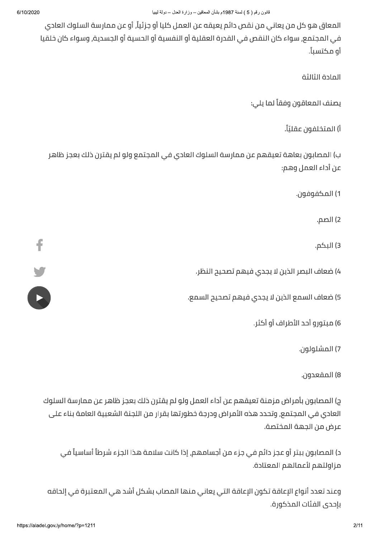المعاق هو كل من يعاني من نقص دائم يعيقه عن العمل كليا أو جزئياً, أو عن ممارسة السلوك العادي في المجتمع, سواء كان النقص في القدرة العقلية أو النفسية أو الحسية أو الجسدية, وسواء كان خلقيا أو مـكتسباً.

المادة الثالثة

يصنف المعاقون وفقاً لما يلي:

أ) المتخلفون عقليّاً.

ب) المصابون بعاهة تعيقهم عن ممارسة السلوك العادي في المجتمع ولو لم يقترن ذلك بعجز ظاهر عن أداء العمل وهم:

1) المكفوفون.

2) الصم.

3) البكم.

4) ضعاف البصر الذين لا يجدي فيهم تصحيح النظر.

5) ضعاف السمع الذين لا يجدي فيهم تصحيح السمع.

6) مبتورو أحد الأطراف أو أكثر.

7) المشلولون.

8) المقعدون.

ج) المصابون بأمراض مزمنة تعيقهم عن أداء العمل ولو لم يقترن ذلك بعجز ظاهر عن ممارسة السلوك العادي في المجتمع, وتحدد هذه الأمراض ودرجة خطورتها بقرار من اللجنة الشعبية العامة بناء على عرض من الجهة المختصة.

د) المصابون ببتر أو عجز دائم في جزء من أجسامهم, إذا كانت سلامة هذا الجزء شرطاً أساسياً في مزاولتهم لأعمالهم المعتادة.

وعند تعدد أنواع الإعاقة تكون الإعاقة التي يعاني منها المصاب بشكل أشد هى المعتبرة فى إلحاقه بإحدى الفئات المذكورة.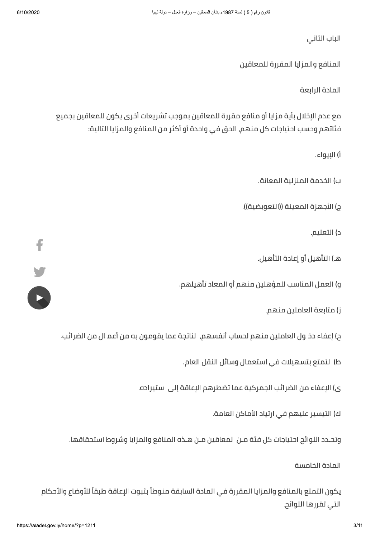الباب الثاني

المنافع والمزايا المقررة للمعاقين

المادة الرابعة

مع عدم الإخلال بأية مزايا أو منافع مقررة للمعاقين بموجب تشريعات أخرى يكون للمعاقين بجميع فئاتهم وحسب احتياجات كل منهم, الحق في واحدة أو أكثر من المنافع والمزايا التالية:

أ) الإيواء.

ب) الخدمة المنزلية المعانة.

ج) الأجهزة المعينة ((التعويضية)).

د) التعليم.

هـ) التأهيل أو إعادة التأهيل.

و) العمل المناسب للمؤهلين منهم أو المعاد تأهيلهم.

ز) متابعة العاملين منهم.

ح) إعفاء دخــول العاملين مـنهم لحساب أنفسهم, الناتجة عما يقومون به من أعمــال من الضرائب.

ط) التمتع بتسهيلات في استعمال وسائل النقل العام.

ى) الإعفاء من الضرائب الجمركية عما تضطرهم الإعاقة إلى استيراده.

ك) التيسير عليهم في ارتياد الأماكن العامة.

وتحـدد اللوائح احتياجات كل فئة مــن المعاقين مــن هــذه المنافع والمزايا وشروط استحقاقها.

المادة الخامسة

للأوضاع والأحكام<br>https://aladel.gov.ly/home/?p=12 يكون التمتع بالمنافع والمزايا المقررة فى المادة السابقة منوطاً بثبوت الإعاقة طبقاً للأوضاع والأحكام التي تقررها اللوائح.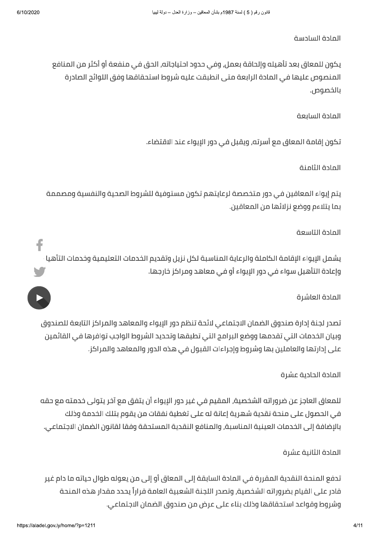#### المادة السادسة

يكون للمعاق بعد تأهيله وإلحاقة بعمل, وفي حدود احتياجاته, الحق في منفعة أو أكثر من المنافع المنصوص عليها في المادة الرابعة متى انطبقت عليه شروط استحقاقها وفق اللوائح الصادرة بالخصوص.

### المادة السايعة

تكون إقامة المعاق مع أسرته, ويقبل في دور الإيواء عند الاقتضاء.

#### المادة الثامنة

يتم إيواء المعاقين في دور متخصصة لرعايتهم تكون مستوفية للشروط الصحية والنفسية ومصممة بما يتلاءم ووضع نزلائها من المعاقين.

#### المادة التاسعة

يشمل الإيواء الإقامة الكاملة والرعاية المناسبة لكل نزيل وتقديم الخدمات التعليمية وخدمات التأهيا وإعادة التأهيل سواء في دور الإيواء أو في معاهد ومراكز خارجها.

#### المادة العاشرة

تصدر لجنة إدارة صندوق الضمان الاجتماعي لائحة تنظم دور الإيواء والمعاهد والمراكز التابعة للصندوق وبيان الخدمات التي تقدمها ووضع البرامج التي تطبقها وتحديد الشروط الواجب توافرها في القائمين على إدارتها والعاملين بها وشروط وإجراءات القبول في هذه الدور والمعاهد والمراكز.

## المادة الحادىة عشرة

للمعاق العاجز عن ضروراته الشخصية, المقيم في غير دور الإيواء أن يتفق مع آخر يتولى خدمته مع حقه في الحصول على منحة نقدية شهرية إعانة له على تغطية نفقات من يقوم بتلك الخدمة وذلك بالإضافة إلى الخدمات العينية المناسبة, والمنافع النقدية المستحقة وفقا لقانون الضمان الاجتماعى.

## المادة الثانية عشرة

تدفع المنحة النقدية المقررة في المادة السابقة إلى المعاق أو إلى من يعوله طوال حياته ما دام غير قادر على القيام بضروراته الشخصية, وتصدر اللجنة الشعبية العامة قراراً يحدد مقدار هذه المنحة وشروط وقواعد استحقاقها وذلك بناء على عرض من صندوق الضمان الاجتماعي.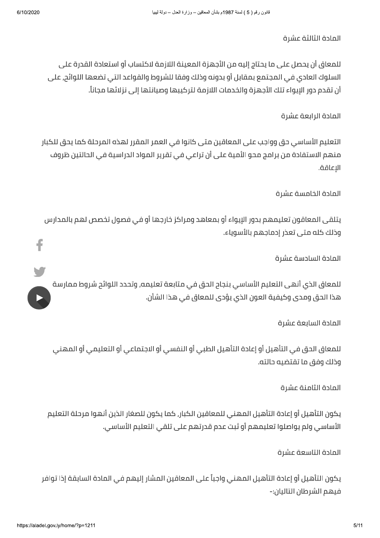#### المادة الثالثة عشرة

للمعاق أن يحصل على ما يحتاج إليه من الأجهزة المعينة اللازمة لاكتساب أو استعادة القدرة على ، السلوك العادي في المجتمع بمقابل أو بدونه وذلك وفقا للشروط والقواعد التي تضعها اللوائج, على أن تقدم دور الإيواء تلك الأجهزة والخدمات اللازمة لتركيبها وصيانتها إلى نزلائها مجاناً.

# المادة الرابعة عشرة

التعليم الأساسي حق وواجب على المعاقين متى كانوا في العمر المقرر لهذه المرحلة كما يحق للكبار منهم الاستفادة من برامج محو الأمية على أن تراعي في تقرير المواد الدراسية في الحالتين ظروف الإعاقة.

## المادة الخامسة عشرة

يتلقى المعاقون تعليمهم بدور الإيواء أو بمعاهد ومراكز خارجها أو في فصول تخصص لهم بالمدارس وذلك كله متى تعذر إدماجهم بالأسوياء.

## المادة السادسة عشرة

للمعاق الذي أنهى التعليم الأساسي بنجام الحق في متابعة تعليمه, وتحدد اللوائح شروط ممارسة هذا الحق ومدى وكيفية العون الذي يؤدي للمعاق في هذا الشأن.

## المادة السابعة عشرة

للمعاق الحق في التأهيل أو إعادة التأهيل الطبي أو النفسي أو الاجتماعي أو التعليمي أو المهني وذلك وفق ما تقتضيه حالته.

# المادة الثامنة عشرة

يكون التأهيل أو إعادة التأهيل المهنى للمعاقين الكبار٬ كما يكون للصغار الذين أنهوا مرحلة التعليم الأساسي ولم يواصلوا تعليمهم أو ثبت عدم قدرتهم على تلقى التعليم الأساسي.

## المادة التاسعة عشرة

يكون التأهيل أو إعادة التأهيل المهني واجباً على المعاقين المشار إليهم في المادة السابقة إذا توافر فيهم الشرطان التاليان:-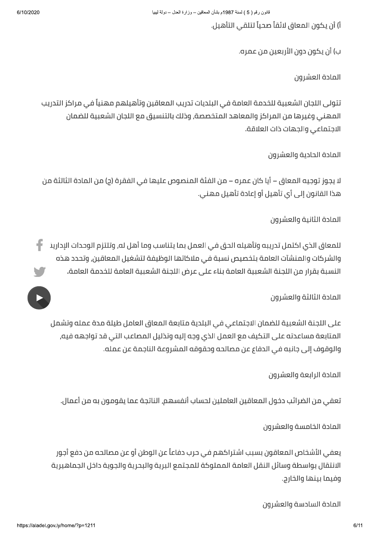6/10/2020

أ) أن يكون المعاق لائقاً صحياً لتلقى التأهيل.

ب) أن يكون دون الأربعين من عمره.

المادة العشرون

تتولى اللجان الشعبية للخدمة العامة في البلديات تدريب المعاقين وتأهيلهم مهنياً في مراكز التدريب المهني وغيرها من المراكز والمعاهد المتخصصة, وذلك بالتنسيق مع اللجان الشعبية للضمان الاجتماعي والجهات ذات العلاقة.

المادة الحادية والعشرون

لا يجوز توجيه المعاق – أيا كان عمره – من الفئة المنصوص عليها في الفقرة (ج) من المادة الثالثة من هذا القانون إلى أي تأهيل أو إعادة تأهيل مهني.

المادة الثانية والعشرون

للمعاق الذي اكتمل تدريبه وتأهيله الحق في العمل بما يتناسب وما أهل له, وتلتزم الوحدات الإدارين والشركات والمنشآت العامة بتخصيص نسبة فى ملاكاتها الوظيفة لتشغيل المعاقين, وتحدد هذه النسبة بقرار من اللجنة الشعبية العامة بناء على عرض اللجنة الشعبية العامة للخدمة العامة.

المادة الثالثة والعشرون

على اللجنة الشعبية للضمان الاجتماعي في البلدية متابعة المعاق العامل طيلة مدة عمله وتشمل المتابعة مساعدته على التكيف مع العمل الذى وجه إليه وتذليل المصاعب التي قد تواجهه فيه, والوقوف إلى جانبه في الدفاع عن مصالحه وحقوقه المشروعة الناجمة عن عمله.

المادة الرابعة والعشرون

تعفي من الضرائب دخول المعاقين العاملين لحساب أنفسهم, الناتجة عما يقومون به من أعمال.

المادة الخامسة والعشرون

يعفي الأشخاص المعاقون بسبب اشتراكهم في حرب دفاعاً عن الوطن أو عن مصالحه من دفع أجور الانتقال بواسطة وسائل النقل العامة المملوكة للمجتمع البرية والبحرية والجوية داخل الجماهيرية وفيما بينها والخارج.

المادة السادسة والعشرون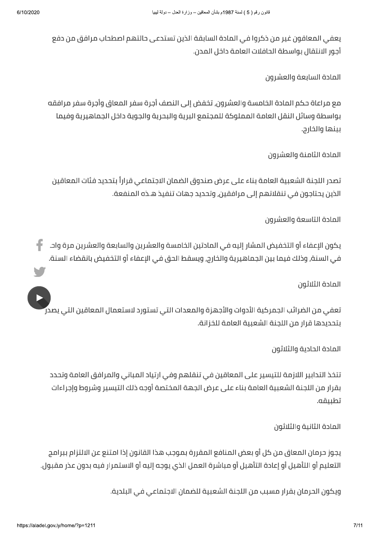يعفي المعاقون غير من ذكروا في المادة السابقة الذين تستدعي حالتهم اصطحاب مرافق من دفع أجور الانتقال بواسطة الحافلات العامة داخل المدن.

المادة السابعة والعشرون

مع مراعاة حكم المادة الخامسة والعشرون, تخفض إلى النصف أجرة سفر المعاق وأجرة سفر مرافقه بواسطة وسائل النقل العامة المملوكة للمجتمع البرية والبحرية والجوية داخل الجماهيرية وفيما بينها والخارج.

المادة الثامنة والعشرون

تصدر اللجنة الشعبية العامة بناء على عرض صندوق الضمان الاجتماعي قراراً بتحديد فئات المعاقين الذين يحتاجون في تنقلاتهم إلى مرافقين, وتحديد جهات تنفيذ هـذه المنفعة.

المادة التاسعة والعشرون

يكون الإعفاء أو التخفيض المشار إليه في المادتين الخامسة والعشرين والسابعة والعشرين مرة واحـ في السنة, وذلك فيما بين الجماهيرية والخارج, ويسقط الحق في الإعفاء أو التخفيض بانقضاء السنة.

المادة الثلاثون

تعفى من الضرائب الجمركية الأدوات والأجهزة والمعدات التى تستورد لاستعمال المعاقين التى يصدر بتحديدها قرار من اللجنة الشعبية العامة للخزانة.

المادة الحادية والثلاثون

تتخذ التدابير اللازمة للتيسير على المعاقين في تنقلهم وفي ارتياد المباني والمرافق العامة وتحدد بقرار من اللجنة الشعبية العامة بناء على عرض الجهة المختصة أوجه ذلك التيسير وشروط وإجراءات تطىىقە.

المادة الثانية والثلاثون

يجوز حرمان المعاق من كل أو بعض المنافع المقررة بموجب هذا القانون إذا امتنع عن الالتزام ببرامج التعليم أو التأهيل أو إعادة التأهيل أو مباشرة العمل الذي يوجه إليه أو الاستمرار فيه بدون عذر مقبول.

ويكون الحرمان بقرار مسبب من اللجنة الشعبية للضمان الاجتماعي في البلدية.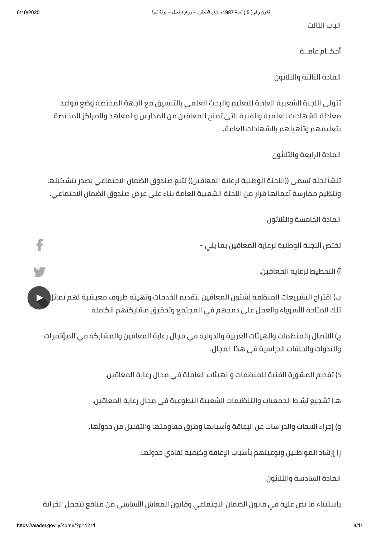f

الياب الثالث

أحكــام عامـــة

المادة الثالثة والثلاثون

تتولى اللجنة الشعبية العامة للتعليم والبحث العلمي بالتنسيق مع الجهة المختصة وضع قواعد معادلة الشهادات العلمية والفنية التي تمنح للمعاقين من المدارس والمعاهد والمراكز المختصة بتعليمهم وتأهيلهم بالشهادات العامة.

المادة الرابعة والثلاثون

تنشأ لجنة تسمى ((اللجنة الوطنية لرعاية المعاقين)) تتبع صندوق الضمان الاجتماعي يصدر بتشكيلها وتنظيم ممارسة أعمالها قرار من اللجنة الشعبية العامة بناء على عرض صندوق الضمان الاجتماعي.

المادة الخامسة والثلاثون

تختص اللجنة الوطنية لرعاية المعاقين بما يلي:-

أ) التخطيط لرعاية المعاقين.

ب) اقترام التشريعات المنظمة لشئون المعاقين لتقديم الخدمات وتهيئة ظروف معيشية لهم تماثر تلك المتاحة للأسوياء والعمل على دمجهم في المجتمع وتحقيق مشاركتهم الكاملة.

ج) الاتصال بالمنظمات والهيئات العربية والدولية في مجال رعاية المعاقين والمشاركة في المؤتمرات والندوات والحلقات الدراسية في هذا المجال.

د) تقديم المشورة الفنية للمنظمات والهيئات العاملة في مجال رعاية المعاقين.

هـ) تشجيع نشاط الجمعيات والتنظيمات الشعبية التطوعية فـي مجال رعاية المعاقين.

و) إجراء الأبحاث والدراسات عن الإعاقة وأسبابها وطرق مقاومتها والتقليل من حدوثها.

ز) إرشاد المواطنين وتوعيتهم بأسباب الإعاقة وكيفية تفادى حدوثها.

المادة السادسة والثلاثون

باستثناء ما نص عليه في قانون الضمان الاجتماعي وقانون المعاش الأساسي من منافع تتحمل الخزانة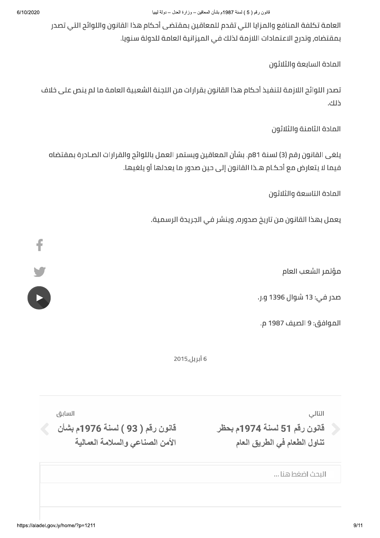العامة تكلفة المنافع والمزايا التى تقدم للمعاقين بمقتضى أحكام هذا القانون واللوائح التى تصدر بمقتضاه, وتدرج الاعتمادات اللازمة لذلك في الميزانية العامة للدولة سنويا.

المادة السابعة والثلاثون

تصدر اللوائح اللازمة لتنفيذ أحكام هذا القانون بقرارات من اللجنة الشعبية العامة ما لم ينص على خلاف ذلك.

المادة الثامنة والثلاثون

يلغي القانون رقم (3) لسنة 81م. بشأن المعاقين ويستمر العمل باللوائح والقرارات الصـادرة بمقتضاه فيما لا يتعارض مع أحكـام هــذا القانون إلى حين صدور ما يعدلها أو يلغيها.

المادة التاسعة والثلاثون

يعمل بهذا القانون من تاريخ صدوره, وينشر في الجريدة الرسمية.

مؤتمر الشعب العام

صدر في: 13 شوال 1396 و.ر.

الموافق: 9 الصيف 1987 م.

6 أبريل,2015

التالي

ر قانون رقم 51 لسنة 1974م بحظر .<br>تناول الطعام في الطريق العام

السابق

 $\leqslant$  قانون رقم ( 93 ) لسنة 1976م بشأن الأمن الصناعي والسلامة العمالية

البحث اضغطهنا ...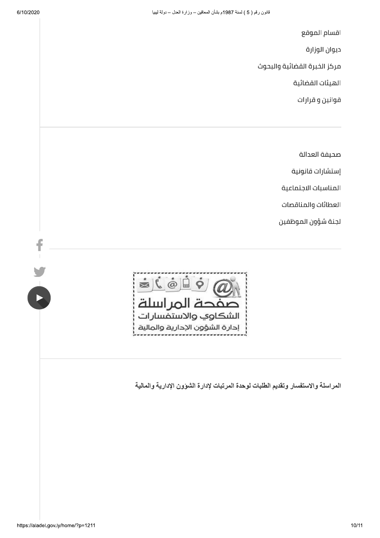$\frac{f}{1}$ 

 $\ddot{\phantom{a}}$ 

اقسام الموقع

ديوان الوزارة

مركز الخبرة القضائية والبحوث

الهيئات القضائية

قوانین و قرارات

صحيفة العدالة

إستشارات قانونية

المناسبات الاجتماعية

العطائات والمناقصات

لجنة شؤون الموظفين



المراسلة والاستفسار وتقديم الطلبات لوحدة المرتبات لإدارة الشوون الإدارية والمالية